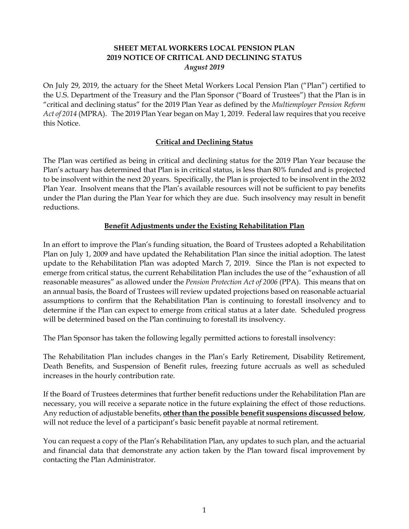## **SHEET METAL WORKERS LOCAL PENSION PLAN 2019 NOTICE OF CRITICAL AND DECLINING STATUS**  *August 2019*

On July 29, 2019, the actuary for the Sheet Metal Workers Local Pension Plan ("Plan") certified to the U.S. Department of the Treasury and the Plan Sponsor ("Board of Trustees") that the Plan is in "critical and declining status" for the 2019 Plan Year as defined by the *Multiemployer Pension Reform Act of 2014* (MPRA). The 2019 Plan Year began on May 1, 2019. Federal law requires that you receive this Notice.

# **Critical and Declining Status**

The Plan was certified as being in critical and declining status for the 2019 Plan Year because the Plan's actuary has determined that Plan is in critical status, is less than 80% funded and is projected to be insolvent within the next 20 years. Specifically, the Plan is projected to be insolvent in the 2032 Plan Year. Insolvent means that the Plan's available resources will not be sufficient to pay benefits under the Plan during the Plan Year for which they are due. Such insolvency may result in benefit reductions.

## **Benefit Adjustments under the Existing Rehabilitation Plan**

In an effort to improve the Plan's funding situation, the Board of Trustees adopted a Rehabilitation Plan on July 1, 2009 and have updated the Rehabilitation Plan since the initial adoption. The latest update to the Rehabilitation Plan was adopted March 7, 2019. Since the Plan is not expected to emerge from critical status, the current Rehabilitation Plan includes the use of the "exhaustion of all reasonable measures" as allowed under the *Pension Protection Act of 2006* (PPA). This means that on an annual basis, the Board of Trustees will review updated projections based on reasonable actuarial assumptions to confirm that the Rehabilitation Plan is continuing to forestall insolvency and to determine if the Plan can expect to emerge from critical status at a later date. Scheduled progress will be determined based on the Plan continuing to forestall its insolvency.

The Plan Sponsor has taken the following legally permitted actions to forestall insolvency:

The Rehabilitation Plan includes changes in the Plan's Early Retirement, Disability Retirement, Death Benefits, and Suspension of Benefit rules, freezing future accruals as well as scheduled increases in the hourly contribution rate.

If the Board of Trustees determines that further benefit reductions under the Rehabilitation Plan are necessary, you will receive a separate notice in the future explaining the effect of those reductions. Any reduction of adjustable benefits, **other than the possible benefit suspensions discussed below**, will not reduce the level of a participant's basic benefit payable at normal retirement.

You can request a copy of the Plan's Rehabilitation Plan, any updates to such plan, and the actuarial and financial data that demonstrate any action taken by the Plan toward fiscal improvement by contacting the Plan Administrator.